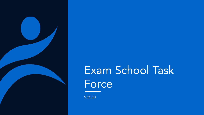

## Exam School Task Force

5.25.21